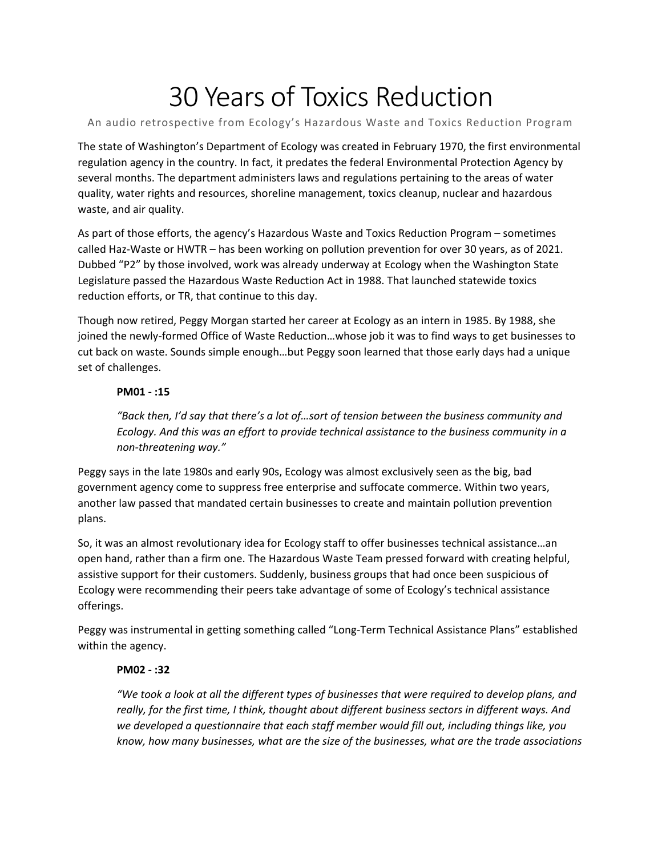# 30 Years of Toxics Reduction

# An audio retrospective from Ecology's Hazardous Waste and Toxics Reduction Program

The state of Washington's Department of Ecology was created in February 1970, the first environmental regulation agency in the country. In fact, it predates the federal Environmental Protection Agency by several months. The department administers laws and regulations pertaining to the areas of water quality, water rights and resources, shoreline management, toxics cleanup, nuclear and hazardous waste, and air quality.

As part of those efforts, the agency's Hazardous Waste and Toxics Reduction Program – sometimes called Haz-Waste or HWTR – has been working on pollution prevention for over 30 years, as of 2021. Dubbed "P2" by those involved, work was already underway at Ecology when the Washington State Legislature passed the Hazardous Waste Reduction Act in 1988. That launched statewide toxics reduction efforts, or TR, that continue to this day.

Though now retired, Peggy Morgan started her career at Ecology as an intern in 1985. By 1988, she joined the newly-formed Office of Waste Reduction…whose job it was to find ways to get businesses to cut back on waste. Sounds simple enough…but Peggy soon learned that those early days had a unique set of challenges.

## **PM01 - :15**

*"Back then, I'd say that there's a lot of…sort of tension between the business community and Ecology. And this was an effort to provide technical assistance to the business community in a non-threatening way."* 

Peggy says in the late 1980s and early 90s, Ecology was almost exclusively seen as the big, bad government agency come to suppress free enterprise and suffocate commerce. Within two years, another law passed that mandated certain businesses to create and maintain pollution prevention plans.

So, it was an almost revolutionary idea for Ecology staff to offer businesses technical assistance…an open hand, rather than a firm one. The Hazardous Waste Team pressed forward with creating helpful, assistive support for their customers. Suddenly, business groups that had once been suspicious of Ecology were recommending their peers take advantage of some of Ecology's technical assistance offerings.

Peggy was instrumental in getting something called "Long-Term Technical Assistance Plans" established within the agency.

# **PM02 - :32**

*"We took a look at all the different types of businesses that were required to develop plans, and really, for the first time, I think, thought about different business sectors in different ways. And we developed a questionnaire that each staff member would fill out, including things like, you know, how many businesses, what are the size of the businesses, what are the trade associations*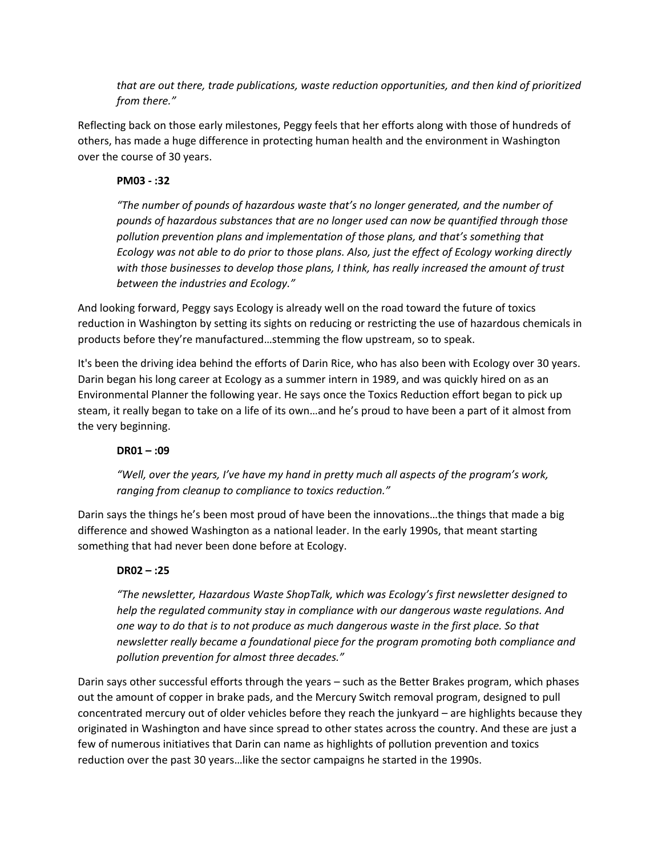*that are out there, trade publications, waste reduction opportunities, and then kind of prioritized from there."*

Reflecting back on those early milestones, Peggy feels that her efforts along with those of hundreds of others, has made a huge difference in protecting human health and the environment in Washington over the course of 30 years.

## **PM03 - :32**

*"The number of pounds of hazardous waste that's no longer generated, and the number of pounds of hazardous substances that are no longer used can now be quantified through those pollution prevention plans and implementation of those plans, and that's something that Ecology was not able to do prior to those plans. Also, just the effect of Ecology working directly with those businesses to develop those plans, I think, has really increased the amount of trust between the industries and Ecology."*

And looking forward, Peggy says Ecology is already well on the road toward the future of toxics reduction in Washington by setting its sights on reducing or restricting the use of hazardous chemicals in products before they're manufactured…stemming the flow upstream, so to speak.

It's been the driving idea behind the efforts of Darin Rice, who has also been with Ecology over 30 years. Darin began his long career at Ecology as a summer intern in 1989, and was quickly hired on as an Environmental Planner the following year. He says once the Toxics Reduction effort began to pick up steam, it really began to take on a life of its own…and he's proud to have been a part of it almost from the very beginning.

### **DR01 – :09**

*"Well, over the years, I've have my hand in pretty much all aspects of the program's work, ranging from cleanup to compliance to toxics reduction."*

Darin says the things he's been most proud of have been the innovations…the things that made a big difference and showed Washington as a national leader. In the early 1990s, that meant starting something that had never been done before at Ecology.

### **DR02 – :25**

*"The newsletter, Hazardous Waste ShopTalk, which was Ecology's first newsletter designed to help the regulated community stay in compliance with our dangerous waste regulations. And one way to do that is to not produce as much dangerous waste in the first place. So that newsletter really became a foundational piece for the program promoting both compliance and pollution prevention for almost three decades."*

Darin says other successful efforts through the years – such as the Better Brakes program, which phases out the amount of copper in brake pads, and the Mercury Switch removal program, designed to pull concentrated mercury out of older vehicles before they reach the junkyard – are highlights because they originated in Washington and have since spread to other states across the country. And these are just a few of numerous initiatives that Darin can name as highlights of pollution prevention and toxics reduction over the past 30 years…like the sector campaigns he started in the 1990s.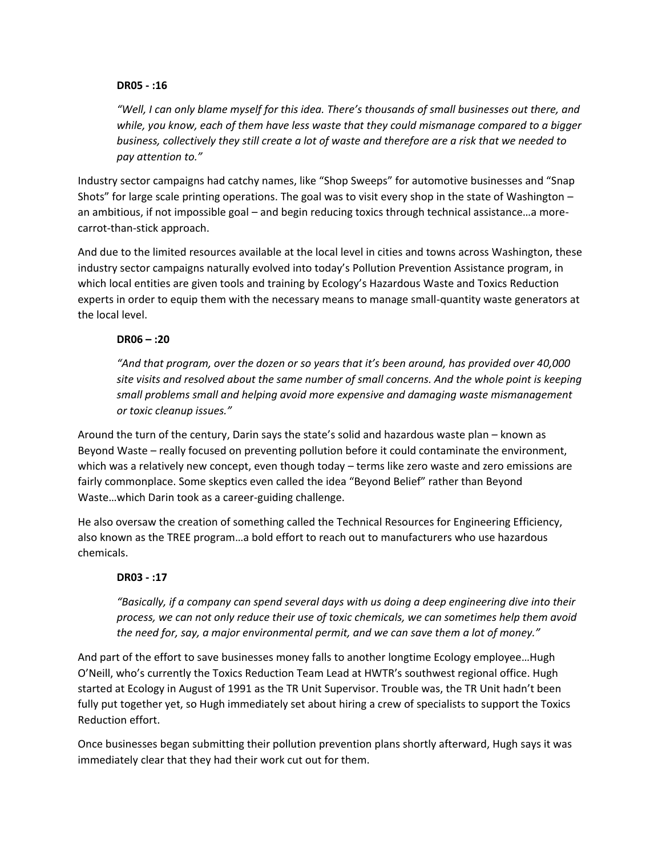### **DR05 - :16**

*"Well, I can only blame myself for this idea. There's thousands of small businesses out there, and while, you know, each of them have less waste that they could mismanage compared to a bigger business, collectively they still create a lot of waste and therefore are a risk that we needed to pay attention to."*

Industry sector campaigns had catchy names, like "Shop Sweeps" for automotive businesses and "Snap Shots" for large scale printing operations. The goal was to visit every shop in the state of Washington – an ambitious, if not impossible goal – and begin reducing toxics through technical assistance…a morecarrot-than-stick approach.

And due to the limited resources available at the local level in cities and towns across Washington, these industry sector campaigns naturally evolved into today's Pollution Prevention Assistance program, in which local entities are given tools and training by Ecology's Hazardous Waste and Toxics Reduction experts in order to equip them with the necessary means to manage small-quantity waste generators at the local level.

# **DR06 – :20**

*"And that program, over the dozen or so years that it's been around, has provided over 40,000 site visits and resolved about the same number of small concerns. And the whole point is keeping small problems small and helping avoid more expensive and damaging waste mismanagement or toxic cleanup issues."*

Around the turn of the century, Darin says the state's solid and hazardous waste plan – known as Beyond Waste – really focused on preventing pollution before it could contaminate the environment, which was a relatively new concept, even though today – terms like zero waste and zero emissions are fairly commonplace. Some skeptics even called the idea "Beyond Belief" rather than Beyond Waste…which Darin took as a career-guiding challenge.

He also oversaw the creation of something called the Technical Resources for Engineering Efficiency, also known as the TREE program…a bold effort to reach out to manufacturers who use hazardous chemicals.

# **DR03 - :17**

*"Basically, if a company can spend several days with us doing a deep engineering dive into their process, we can not only reduce their use of toxic chemicals, we can sometimes help them avoid the need for, say, a major environmental permit, and we can save them a lot of money."* 

And part of the effort to save businesses money falls to another longtime Ecology employee…Hugh O'Neill, who's currently the Toxics Reduction Team Lead at HWTR's southwest regional office. Hugh started at Ecology in August of 1991 as the TR Unit Supervisor. Trouble was, the TR Unit hadn't been fully put together yet, so Hugh immediately set about hiring a crew of specialists to support the Toxics Reduction effort.

Once businesses began submitting their pollution prevention plans shortly afterward, Hugh says it was immediately clear that they had their work cut out for them.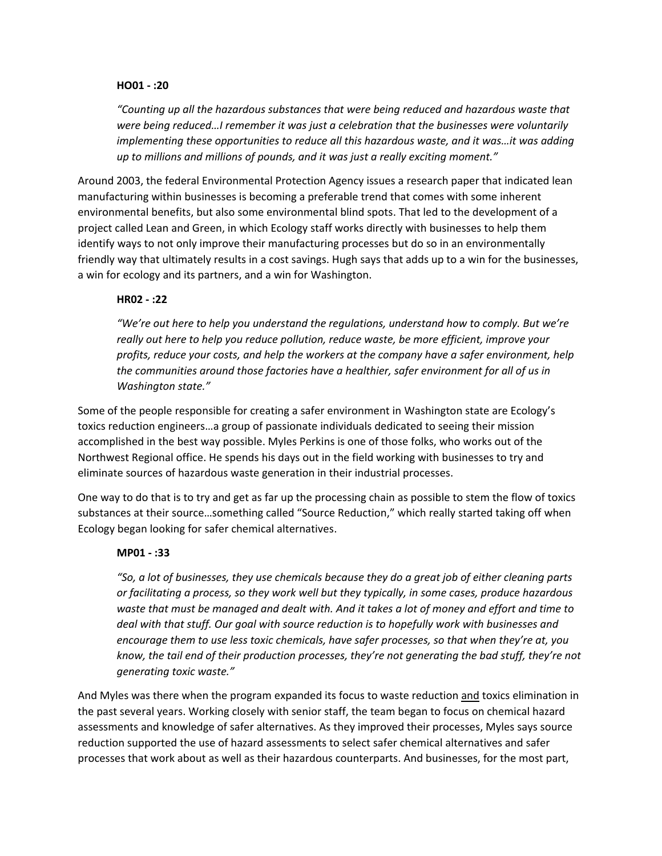### **HO01 - :20**

*"Counting up all the hazardous substances that were being reduced and hazardous waste that were being reduced…I remember it was just a celebration that the businesses were voluntarily implementing these opportunities to reduce all this hazardous waste, and it was…it was adding up to millions and millions of pounds, and it was just a really exciting moment."*

Around 2003, the federal Environmental Protection Agency issues a research paper that indicated lean manufacturing within businesses is becoming a preferable trend that comes with some inherent environmental benefits, but also some environmental blind spots. That led to the development of a project called Lean and Green, in which Ecology staff works directly with businesses to help them identify ways to not only improve their manufacturing processes but do so in an environmentally friendly way that ultimately results in a cost savings. Hugh says that adds up to a win for the businesses, a win for ecology and its partners, and a win for Washington.

#### **HR02 - :22**

*"We're out here to help you understand the regulations, understand how to comply. But we're really out here to help you reduce pollution, reduce waste, be more efficient, improve your profits, reduce your costs, and help the workers at the company have a safer environment, help the communities around those factories have a healthier, safer environment for all of us in Washington state."* 

Some of the people responsible for creating a safer environment in Washington state are Ecology's toxics reduction engineers…a group of passionate individuals dedicated to seeing their mission accomplished in the best way possible. Myles Perkins is one of those folks, who works out of the Northwest Regional office. He spends his days out in the field working with businesses to try and eliminate sources of hazardous waste generation in their industrial processes.

One way to do that is to try and get as far up the processing chain as possible to stem the flow of toxics substances at their source…something called "Source Reduction," which really started taking off when Ecology began looking for safer chemical alternatives.

#### **MP01 - :33**

*"So, a lot of businesses, they use chemicals because they do a great job of either cleaning parts or facilitating a process, so they work well but they typically, in some cases, produce hazardous waste that must be managed and dealt with. And it takes a lot of money and effort and time to deal with that stuff. Our goal with source reduction is to hopefully work with businesses and encourage them to use less toxic chemicals, have safer processes, so that when they're at, you know, the tail end of their production processes, they're not generating the bad stuff, they're not generating toxic waste."*

And Myles was there when the program expanded its focus to waste reduction and toxics elimination in the past several years. Working closely with senior staff, the team began to focus on chemical hazard assessments and knowledge of safer alternatives. As they improved their processes, Myles says source reduction supported the use of hazard assessments to select safer chemical alternatives and safer processes that work about as well as their hazardous counterparts. And businesses, for the most part,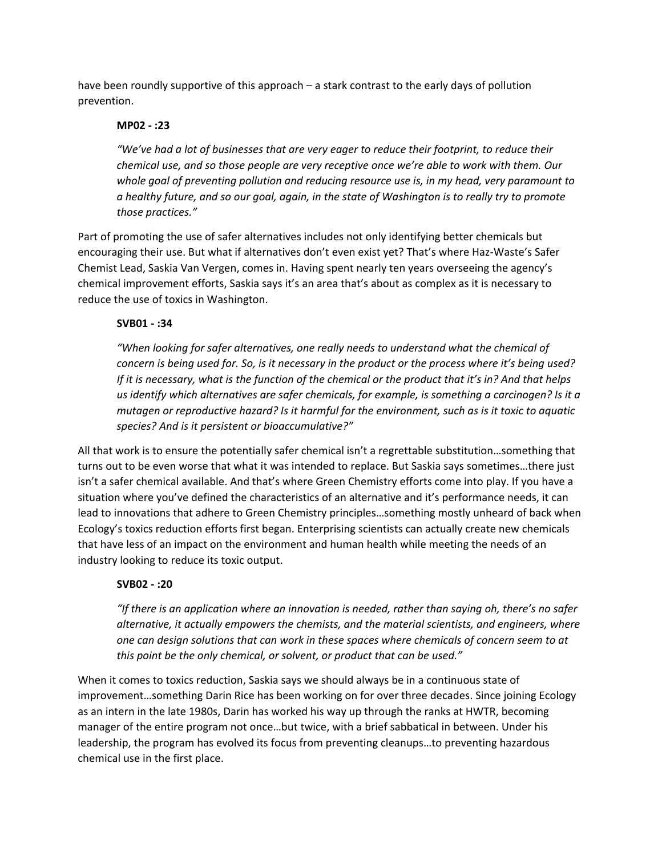have been roundly supportive of this approach – a stark contrast to the early days of pollution prevention.

## **MP02 - :23**

*"We've had a lot of businesses that are very eager to reduce their footprint, to reduce their chemical use, and so those people are very receptive once we're able to work with them. Our whole goal of preventing pollution and reducing resource use is, in my head, very paramount to a healthy future, and so our goal, again, in the state of Washington is to really try to promote those practices."* 

Part of promoting the use of safer alternatives includes not only identifying better chemicals but encouraging their use. But what if alternatives don't even exist yet? That's where Haz-Waste's Safer Chemist Lead, Saskia Van Vergen, comes in. Having spent nearly ten years overseeing the agency's chemical improvement efforts, Saskia says it's an area that's about as complex as it is necessary to reduce the use of toxics in Washington.

# **SVB01 - :34**

*"When looking for safer alternatives, one really needs to understand what the chemical of concern is being used for. So, is it necessary in the product or the process where it's being used? If it is necessary, what is the function of the chemical or the product that it's in? And that helps us identify which alternatives are safer chemicals, for example, is something a carcinogen? Is it a mutagen or reproductive hazard? Is it harmful for the environment, such as is it toxic to aquatic species? And is it persistent or bioaccumulative?"*

All that work is to ensure the potentially safer chemical isn't a regrettable substitution…something that turns out to be even worse that what it was intended to replace. But Saskia says sometimes…there just isn't a safer chemical available. And that's where Green Chemistry efforts come into play. If you have a situation where you've defined the characteristics of an alternative and it's performance needs, it can lead to innovations that adhere to Green Chemistry principles…something mostly unheard of back when Ecology's toxics reduction efforts first began. Enterprising scientists can actually create new chemicals that have less of an impact on the environment and human health while meeting the needs of an industry looking to reduce its toxic output.

### **SVB02 - :20**

*"If there is an application where an innovation is needed, rather than saying oh, there's no safer alternative, it actually empowers the chemists, and the material scientists, and engineers, where one can design solutions that can work in these spaces where chemicals of concern seem to at this point be the only chemical, or solvent, or product that can be used."*

When it comes to toxics reduction, Saskia says we should always be in a continuous state of improvement…something Darin Rice has been working on for over three decades. Since joining Ecology as an intern in the late 1980s, Darin has worked his way up through the ranks at HWTR, becoming manager of the entire program not once…but twice, with a brief sabbatical in between. Under his leadership, the program has evolved its focus from preventing cleanups…to preventing hazardous chemical use in the first place.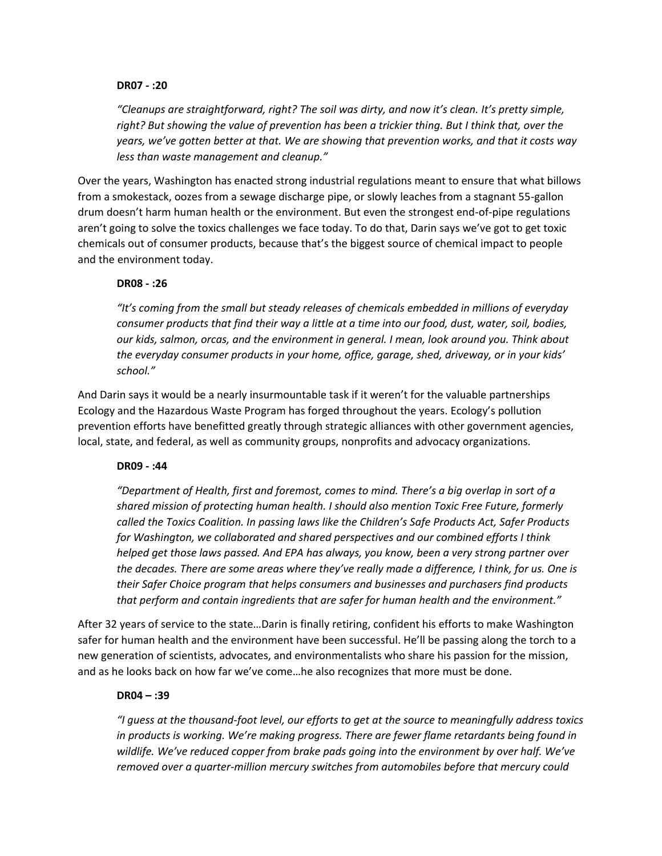#### **DR07 - :20**

*"Cleanups are straightforward, right? The soil was dirty, and now it's clean. It's pretty simple, right? But showing the value of prevention has been a trickier thing. But I think that, over the years, we've gotten better at that. We are showing that prevention works, and that it costs way less than waste management and cleanup."*

Over the years, Washington has enacted strong industrial regulations meant to ensure that what billows from a smokestack, oozes from a sewage discharge pipe, or slowly leaches from a stagnant 55-gallon drum doesn't harm human health or the environment. But even the strongest end-of-pipe regulations aren't going to solve the toxics challenges we face today. To do that, Darin says we've got to get toxic chemicals out of consumer products, because that's the biggest source of chemical impact to people and the environment today.

### **DR08 - :26**

*"It's coming from the small but steady releases of chemicals embedded in millions of everyday consumer products that find their way a little at a time into our food, dust, water, soil, bodies, our kids, salmon, orcas, and the environment in general. I mean, look around you. Think about the everyday consumer products in your home, office, garage, shed, driveway, or in your kids' school."*

And Darin says it would be a nearly insurmountable task if it weren't for the valuable partnerships Ecology and the Hazardous Waste Program has forged throughout the years. Ecology's pollution prevention efforts have benefitted greatly through strategic alliances with other government agencies, local, state, and federal, as well as community groups, nonprofits and advocacy organizations.

### **DR09 - :44**

*"Department of Health, first and foremost, comes to mind. There's a big overlap in sort of a shared mission of protecting human health. I should also mention Toxic Free Future, formerly called the Toxics Coalition. In passing laws like the Children's Safe Products Act, Safer Products for Washington, we collaborated and shared perspectives and our combined efforts I think helped get those laws passed. And EPA has always, you know, been a very strong partner over the decades. There are some areas where they've really made a difference, I think, for us. One is their Safer Choice program that helps consumers and businesses and purchasers find products that perform and contain ingredients that are safer for human health and the environment."*

After 32 years of service to the state…Darin is finally retiring, confident his efforts to make Washington safer for human health and the environment have been successful. He'll be passing along the torch to a new generation of scientists, advocates, and environmentalists who share his passion for the mission, and as he looks back on how far we've come…he also recognizes that more must be done.

#### **DR04 – :39**

*"I guess at the thousand-foot level, our efforts to get at the source to meaningfully address toxics in products is working. We're making progress. There are fewer flame retardants being found in wildlife. We've reduced copper from brake pads going into the environment by over half. We've removed over a quarter-million mercury switches from automobiles before that mercury could*